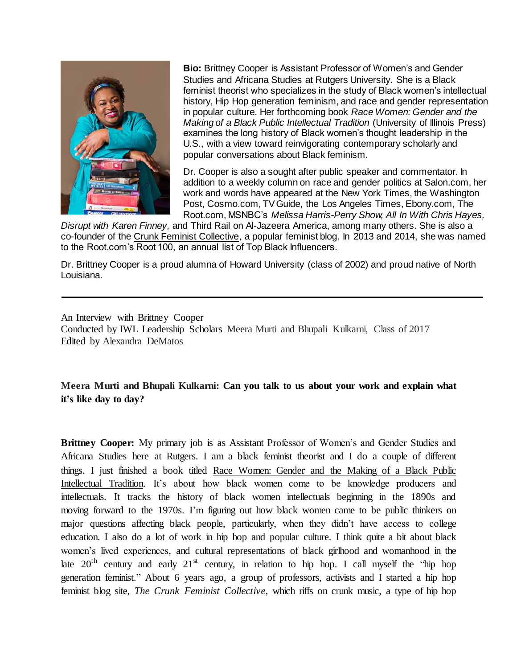

**Bio:** Brittney Cooper is Assistant Professor of Women's and Gender Studies and Africana Studies at Rutgers University. She is a Black feminist theorist who specializes in the study of Black women's intellectual history, Hip Hop generation feminism, and race and gender representation in popular culture. Her forthcoming book *Race Women: Gender and the Making of a Black Public Intellectual Tradition* (University of Illinois Press) examines the long history of Black women's thought leadership in the U.S., with a view toward reinvigorating contemporary scholarly and popular conversations about Black feminism.

Dr. Cooper is also a sought after public speaker and commentator. In addition to a [weekly column](http://www.salon.com/writer/brittney_cooper/) on race and gender politics at Salon.com, her work and words have appeared at the New York Times, the Washington Post, Cosmo.com, TV Guide, the Los Angeles Times, Ebony.com, The Root.com, MSNBC's *Melissa Harris-Perry Show, All In With Chris Hayes,* 

*Disrupt with Karen Finney,* and Third Rail on Al-Jazeera America, among many others. She is also a co-founder of the [Crunk Feminist Collective,](http://www.crunkfeministcollective.com/) a popular feminist blog. In 2013 and 2014, she was named to the Root.com's Root 100, an annual list of Top Black Influencers.

Dr. Brittney Cooper is a proud alumna of Howard University (class of 2002) and proud native of North Louisiana.

An Interview with Brittney Cooper Conducted by IWL Leadership Scholars Meera Murti and Bhupali Kulkarni, Class of 2017 Edited by Alexandra DeMatos

**Meera Murti and Bhupali Kulkarni: Can you talk to us about your work and explain what it's like day to day?**

**Brittney Cooper:** My primary job is as Assistant Professor of Women's and Gender Studies and Africana Studies here at Rutgers. I am a black feminist theorist and I do a couple of different things. I just finished a book titled Race Women: Gender and the Making of a Black Public Intellectual Tradition. It's about how black women come to be knowledge producers and intellectuals. It tracks the history of black women intellectuals beginning in the 1890s and moving forward to the 1970s. I'm figuring out how black women came to be public thinkers on major questions affecting black people, particularly, when they didn't have access to college education. I also do a lot of work in hip hop and popular culture. I think quite a bit about black women's lived experiences, and cultural representations of black girlhood and womanhood in the late  $20<sup>th</sup>$  century and early  $21<sup>st</sup>$  century, in relation to hip hop. I call myself the "hip hop generation feminist." About 6 years ago, a group of professors, activists and I started a hip hop feminist blog site, *The Crunk Feminist Collective*, which riffs on crunk music, a type of hip hop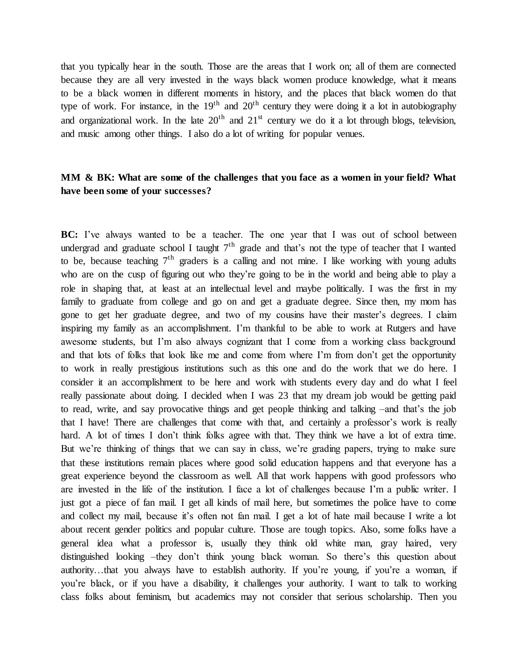that you typically hear in the south. Those are the areas that I work on; all of them are connected because they are all very invested in the ways black women produce knowledge, what it means to be a black women in different moments in history, and the places that black women do that type of work. For instance, in the  $19<sup>th</sup>$  and  $20<sup>th</sup>$  century they were doing it a lot in autobiography and organizational work. In the late  $20<sup>th</sup>$  and  $21<sup>st</sup>$  century we do it a lot through blogs, television, and music among other things. I also do a lot of writing for popular venues.

## **MM & BK: What are some of the challenges that you face as a women in your field? What have been some of your successes?**

**BC:** I've always wanted to be a teacher. The one year that I was out of school between undergrad and graduate school I taught  $7<sup>th</sup>$  grade and that's not the type of teacher that I wanted to be, because teaching  $7<sup>th</sup>$  graders is a calling and not mine. I like working with young adults who are on the cusp of figuring out who they're going to be in the world and being able to play a role in shaping that, at least at an intellectual level and maybe politically. I was the first in my family to graduate from college and go on and get a graduate degree. Since then, my mom has gone to get her graduate degree, and two of my cousins have their master's degrees. I claim inspiring my family as an accomplishment. I'm thankful to be able to work at Rutgers and have awesome students, but I'm also always cognizant that I come from a working class background and that lots of folks that look like me and come from where I'm from don't get the opportunity to work in really prestigious institutions such as this one and do the work that we do here. I consider it an accomplishment to be here and work with students every day and do what I feel really passionate about doing. I decided when I was 23 that my dream job would be getting paid to read, write, and say provocative things and get people thinking and talking –and that's the job that I have! There are challenges that come with that, and certainly a professor's work is really hard. A lot of times I don't think folks agree with that. They think we have a lot of extra time. But we're thinking of things that we can say in class, we're grading papers, trying to make sure that these institutions remain places where good solid education happens and that everyone has a great experience beyond the classroom as well. All that work happens with good professors who are invested in the life of the institution. I face a lot of challenges because I'm a public writer. I just got a piece of fan mail. I get all kinds of mail here, but sometimes the police have to come and collect my mail, because it's often not fan mail. I get a lot of hate mail because I write a lot about recent gender politics and popular culture. Those are tough topics. Also, some folks have a general idea what a professor is, usually they think old white man, gray haired, very distinguished looking –they don't think young black woman. So there's this question about authority…that you always have to establish authority. If you're young, if you're a woman, if you're black, or if you have a disability, it challenges your authority. I want to talk to working class folks about feminism, but academics may not consider that serious scholarship. Then you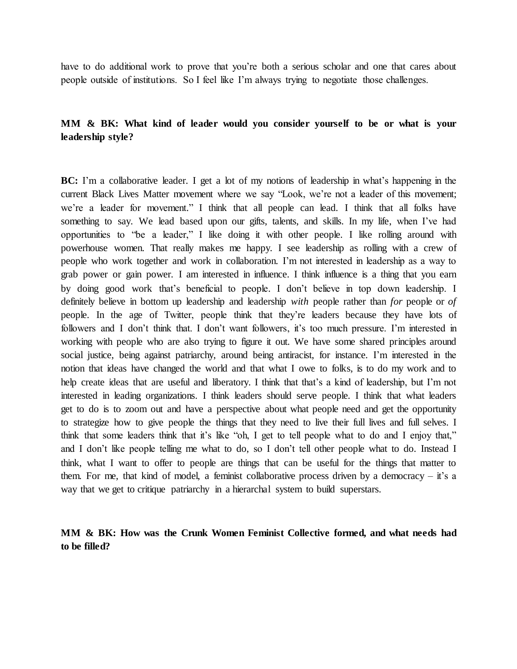have to do additional work to prove that you're both a serious scholar and one that cares about people outside of institutions. So I feel like I'm always trying to negotiate those challenges.

## **MM & BK: What kind of leader would you consider yourself to be or what is your leadership style?**

**BC:** I'm a collaborative leader. I get a lot of my notions of leadership in what's happening in the current Black Lives Matter movement where we say "Look, we're not a leader of this movement; we're a leader for movement." I think that all people can lead. I think that all folks have something to say. We lead based upon our gifts, talents, and skills. In my life, when I've had opportunities to "be a leader," I like doing it with other people. I like rolling around with powerhouse women. That really makes me happy. I see leadership as rolling with a crew of people who work together and work in collaboration. I'm not interested in leadership as a way to grab power or gain power. I am interested in influence. I think influence is a thing that you earn by doing good work that's beneficial to people. I don't believe in top down leadership. I definitely believe in bottom up leadership and leadership *with* people rather than *for* people or *of* people. In the age of Twitter, people think that they're leaders because they have lots of followers and I don't think that. I don't want followers, it's too much pressure. I'm interested in working with people who are also trying to figure it out. We have some shared principles around social justice, being against patriarchy, around being antiracist, for instance. I'm interested in the notion that ideas have changed the world and that what I owe to folks, is to do my work and to help create ideas that are useful and liberatory. I think that that's a kind of leadership, but I'm not interested in leading organizations. I think leaders should serve people. I think that what leaders get to do is to zoom out and have a perspective about what people need and get the opportunity to strategize how to give people the things that they need to live their full lives and full selves. I think that some leaders think that it's like "oh, I get to tell people what to do and I enjoy that," and I don't like people telling me what to do, so I don't tell other people what to do. Instead I think, what I want to offer to people are things that can be useful for the things that matter to them. For me, that kind of model, a feminist collaborative process driven by a democracy – it's a way that we get to critique patriarchy in a hierarchal system to build superstars.

### **MM & BK: How was the Crunk Women Feminist Collective formed, and what needs had to be filled?**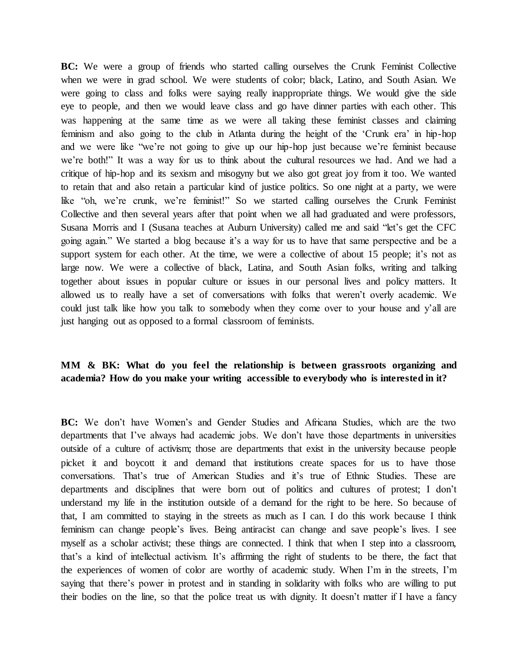**BC:** We were a group of friends who started calling ourselves the Crunk Feminist Collective when we were in grad school. We were students of color; black, Latino, and South Asian. We were going to class and folks were saying really inappropriate things. We would give the side eye to people, and then we would leave class and go have dinner parties with each other. This was happening at the same time as we were all taking these feminist classes and claiming feminism and also going to the club in Atlanta during the height of the 'Crunk era' in hip-hop and we were like "we're not going to give up our hip-hop just because we're feminist because we're both!" It was a way for us to think about the cultural resources we had. And we had a critique of hip-hop and its sexism and misogyny but we also got great joy from it too. We wanted to retain that and also retain a particular kind of justice politics. So one night at a party, we were like "oh, we're crunk, we're feminist!" So we started calling ourselves the Crunk Feminist Collective and then several years after that point when we all had graduated and were professors, Susana Morris and I (Susana teaches at Auburn University) called me and said "let's get the CFC going again." We started a blog because it's a way for us to have that same perspective and be a support system for each other. At the time, we were a collective of about 15 people; it's not as large now. We were a collective of black, Latina, and South Asian folks, writing and talking together about issues in popular culture or issues in our personal lives and policy matters. It allowed us to really have a set of conversations with folks that weren't overly academic. We could just talk like how you talk to somebody when they come over to your house and y'all are just hanging out as opposed to a formal classroom of feminists.

# **MM & BK: What do you feel the relationship is between grassroots organizing and academia? How do you make your writing accessible to everybody who is interested in it?**

**BC:** We don't have Women's and Gender Studies and Africana Studies, which are the two departments that I've always had academic jobs. We don't have those departments in universities outside of a culture of activism; those are departments that exist in the university because people picket it and boycott it and demand that institutions create spaces for us to have those conversations. That's true of American Studies and it's true of Ethnic Studies. These are departments and disciplines that were born out of politics and cultures of protest; I don't understand my life in the institution outside of a demand for the right to be here. So because of that, I am committed to staying in the streets as much as I can. I do this work because I think feminism can change people's lives. Being antiracist can change and save people's lives. I see myself as a scholar activist; these things are connected. I think that when I step into a classroom, that's a kind of intellectual activism. It's affirming the right of students to be there, the fact that the experiences of women of color are worthy of academic study. When I'm in the streets, I'm saying that there's power in protest and in standing in solidarity with folks who are willing to put their bodies on the line, so that the police treat us with dignity. It doesn't matter if I have a fancy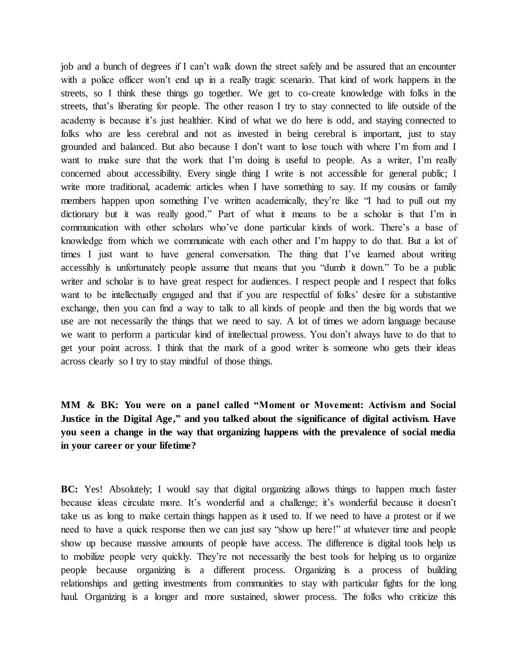job and a bunch of degrees if I can't walk down the street safely and be assured that an encounter with a police officer won't end up in a really tragic scenario. That kind of work happens in the streets, so I think these things go together. We get to co-create knowledge with folks in the streets, that's liberating for people. The other reason I try to stay connected to life outside of the academy is because it's just healthier. Kind of what we do here is odd, and staying connected to folks who are less cerebral and not as invested in being cerebral is important, just to stay grounded and balanced. But also because I don't want to lose touch with where I'm from and I want to make sure that the work that I'm doing is useful to people. As a writer, I'm really concerned about accessibility. Every single thing I write is not accessible for general public; I write more traditional, academic articles when I have something to say. If my cousins or family members happen upon something I've written academically, they're like "I had to pull out my dictionary but it was really good." Part of what it means to be a scholar is that I'm in communication with other scholars who've done particular kinds of work. There's a base of knowledge from which we communicate with each other and I'm happy to do that. But a lot of times I just want to have general conversation. The thing that I've learned about writing accessibly is unfortunately people assume that means that you "dumb it down." To be a public writer and scholar is to have great respect for audiences. I respect people and I respect that folks want to be intellectually engaged and that if you are respectful of folks' desire for a substantive exchange, then you can find a way to talk to all kinds of people and then the big words that we use are not necessarily the things that we need to say. A lot of times we adorn language because we want to perform a particular kind of intellectual prowess. You don't always have to do that to get your point across. I think that the mark of a good writer is someone who gets their ideas across clearly so I try to stay mindful of those things.

**MM & BK: You were on a panel called "Moment or Movement: Activism and Social Justice in the Digital Age," and you talked about the significance of digital activism. Have you seen a change in the way that organizing happens with the prevalence of social media in your career or your lifetime?**

**BC:** Yes! Absolutely; I would say that digital organizing allows things to happen much faster because ideas circulate more. It's wonderful and a challenge; it's wonderful because it doesn't take us as long to make certain things happen as it used to. If we need to have a protest or if we need to have a quick response then we can just say "show up here!" at whatever time and people show up because massive amounts of people have access. The difference is digital tools help us to mobilize people very quickly. They're not necessarily the best tools for helping us to organize people because organizing is a different process. Organizing is a process of building relationships and getting investments from communities to stay with particular fights for the long haul. Organizing is a longer and more sustained, slower process. The folks who criticize this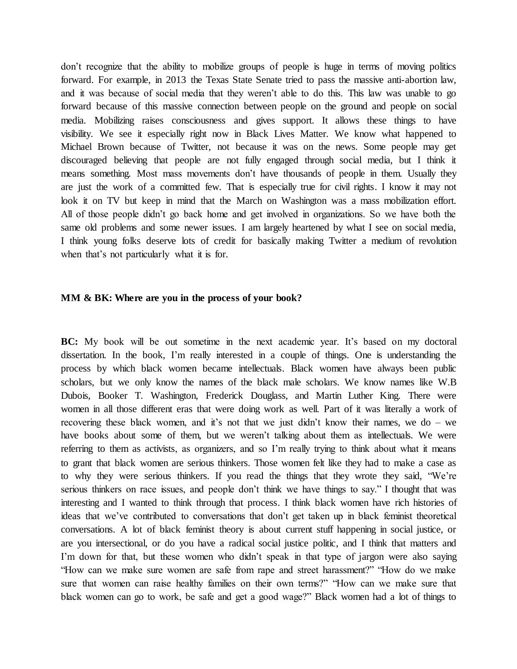don't recognize that the ability to mobilize groups of people is huge in terms of moving politics forward. For example, in 2013 the Texas State Senate tried to pass the massive anti-abortion law, and it was because of social media that they weren't able to do this. This law was unable to go forward because of this massive connection between people on the ground and people on social media. Mobilizing raises consciousness and gives support. It allows these things to have visibility. We see it especially right now in Black Lives Matter. We know what happened to Michael Brown because of Twitter, not because it was on the news. Some people may get discouraged believing that people are not fully engaged through social media, but I think it means something. Most mass movements don't have thousands of people in them. Usually they are just the work of a committed few. That is especially true for civil rights. I know it may not look it on TV but keep in mind that the March on Washington was a mass mobilization effort. All of those people didn't go back home and get involved in organizations. So we have both the same old problems and some newer issues. I am largely heartened by what I see on social media, I think young folks deserve lots of credit for basically making Twitter a medium of revolution when that's not particularly what it is for.

#### **MM & BK: Where are you in the process of your book?**

**BC:** My book will be out sometime in the next academic year. It's based on my doctoral dissertation. In the book, I'm really interested in a couple of things. One is understanding the process by which black women became intellectuals. Black women have always been public scholars, but we only know the names of the black male scholars. We know names like W.B Dubois, Booker T. Washington, Frederick Douglass, and Martin Luther King. There were women in all those different eras that were doing work as well. Part of it was literally a work of recovering these black women, and it's not that we just didn't know their names, we do – we have books about some of them, but we weren't talking about them as intellectuals. We were referring to them as activists, as organizers, and so I'm really trying to think about what it means to grant that black women are serious thinkers. Those women felt like they had to make a case as to why they were serious thinkers. If you read the things that they wrote they said, "We're serious thinkers on race issues, and people don't think we have things to say." I thought that was interesting and I wanted to think through that process. I think black women have rich histories of ideas that we've contributed to conversations that don't get taken up in black feminist theoretical conversations. A lot of black feminist theory is about current stuff happening in social justice, or are you intersectional, or do you have a radical social justice politic, and I think that matters and I'm down for that, but these women who didn't speak in that type of jargon were also saying "How can we make sure women are safe from rape and street harassment?" "How do we make sure that women can raise healthy families on their own terms?" "How can we make sure that black women can go to work, be safe and get a good wage?" Black women had a lot of things to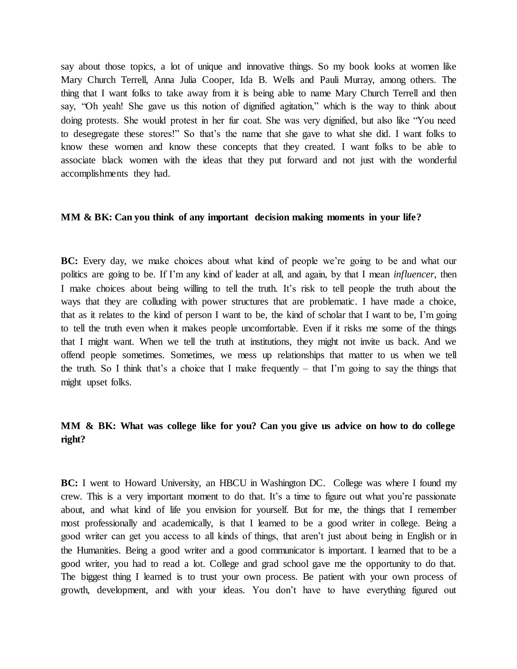say about those topics, a lot of unique and innovative things. So my book looks at women like Mary Church Terrell, Anna Julia Cooper, Ida B. Wells and Pauli Murray, among others. The thing that I want folks to take away from it is being able to name Mary Church Terrell and then say, "Oh yeah! She gave us this notion of dignified agitation," which is the way to think about doing protests. She would protest in her fur coat. She was very dignified, but also like "You need to desegregate these stores!" So that's the name that she gave to what she did. I want folks to know these women and know these concepts that they created. I want folks to be able to associate black women with the ideas that they put forward and not just with the wonderful accomplishments they had.

#### **MM & BK: Can you think of any important decision making moments in your life?**

**BC:** Every day, we make choices about what kind of people we're going to be and what our politics are going to be. If I'm any kind of leader at all, and again, by that I mean *influencer*, then I make choices about being willing to tell the truth. It's risk to tell people the truth about the ways that they are colluding with power structures that are problematic. I have made a choice, that as it relates to the kind of person I want to be, the kind of scholar that I want to be, I'm going to tell the truth even when it makes people uncomfortable. Even if it risks me some of the things that I might want. When we tell the truth at institutions, they might not invite us back. And we offend people sometimes. Sometimes, we mess up relationships that matter to us when we tell the truth. So I think that's a choice that I make frequently – that I'm going to say the things that might upset folks.

# **MM & BK: What was college like for you? Can you give us advice on how to do college right?**

**BC:** I went to Howard University, an HBCU in Washington DC. College was where I found my crew. This is a very important moment to do that. It's a time to figure out what you're passionate about, and what kind of life you envision for yourself. But for me, the things that I remember most professionally and academically, is that I learned to be a good writer in college. Being a good writer can get you access to all kinds of things, that aren't just about being in English or in the Humanities. Being a good writer and a good communicator is important. I learned that to be a good writer, you had to read a lot. College and grad school gave me the opportunity to do that. The biggest thing I learned is to trust your own process. Be patient with your own process of growth, development, and with your ideas. You don't have to have everything figured out